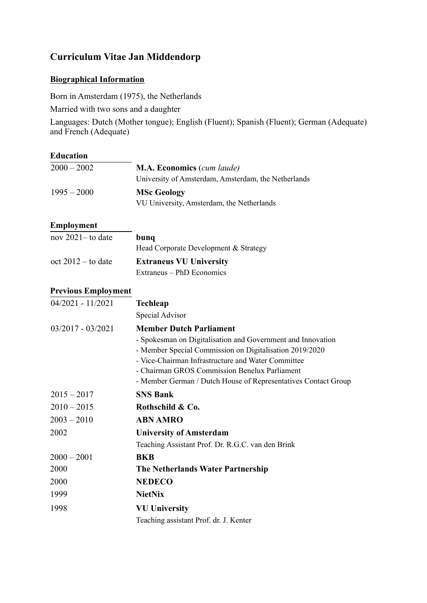# **Curriculum Vitae Jan Middendorp**

# **Biographical Information**

Born in Amsterdam (1975), the Netherlands

Married with two sons and a daughter

Languages: Dutch (Mother tongue); English (Fluent); Spanish (Fluent); German (Adequate) and French (Adequate)

| <b>Education</b>           |                                                                                                     |
|----------------------------|-----------------------------------------------------------------------------------------------------|
| $2000 - 2002$              | <b>M.A. Economics</b> (cum laude)                                                                   |
|                            | University of Amsterdam, Amsterdam, the Netherlands                                                 |
| $1995 - 2000$              | <b>MSc Geology</b>                                                                                  |
|                            | VU University, Amsterdam, the Netherlands                                                           |
| <b>Employment</b>          |                                                                                                     |
| nov 2021-to date           | bunq                                                                                                |
|                            | Head Corporate Development & Strategy                                                               |
| $oct 2012 - to date$       | <b>Extraneus VU University</b>                                                                      |
|                            | Extraneus - PhD Economics                                                                           |
| <b>Previous Employment</b> |                                                                                                     |
| $04/2021 - 11/2021$        | <b>Techleap</b>                                                                                     |
|                            | Special Advisor                                                                                     |
| $03/2017 - 03/2021$        | <b>Member Dutch Parliament</b>                                                                      |
|                            | - Spokesman on Digitalisation and Government and Innovation                                         |
|                            | - Member Special Commission on Digitalisation 2019/2020                                             |
|                            | - Vice-Chairman Infrastructure and Water Committee<br>- Chairman GROS Commission Benelux Parliament |
|                            | - Member German / Dutch House of Representatives Contact Group                                      |
| $2015 - 2017$              | <b>SNS Bank</b>                                                                                     |
| $2010 - 2015$              | Rothschild & Co.                                                                                    |
| $2003 - 2010$              | <b>ABN AMRO</b>                                                                                     |
| 2002                       | <b>University of Amsterdam</b>                                                                      |
|                            | Teaching Assistant Prof. Dr. R.G.C. van den Brink                                                   |
| $2000 - 2001$              | <b>BKB</b>                                                                                          |
| 2000                       | The Netherlands Water Partnership                                                                   |
| 2000                       | <b>NEDECO</b>                                                                                       |
| 1999                       | <b>NietNix</b>                                                                                      |
| 1998                       | <b>VU University</b>                                                                                |
|                            | Teaching assistant Prof. dr. J. Kenter                                                              |